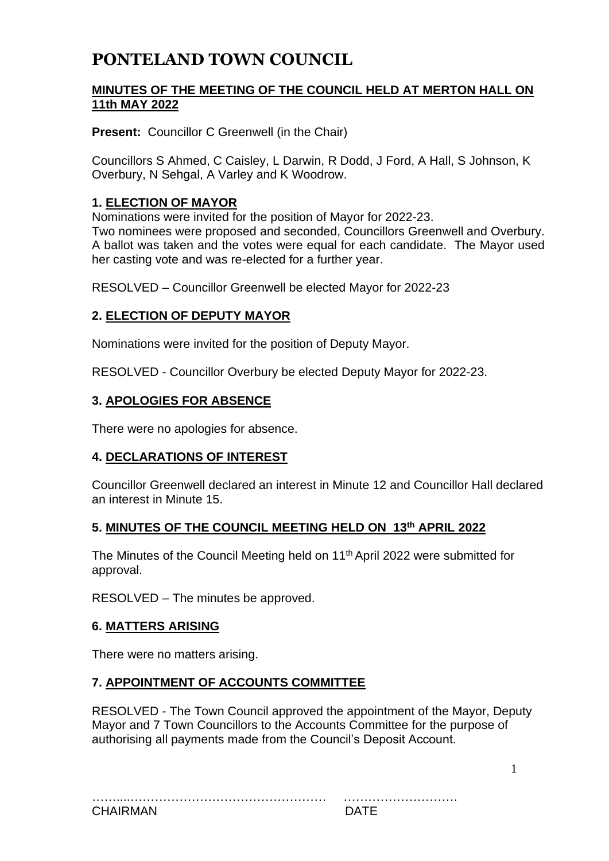# **PONTELAND TOWN COUNCIL**

## **MINUTES OF THE MEETING OF THE COUNCIL HELD AT MERTON HALL ON 11th MAY 2022**

**Present:** Councillor C Greenwell (in the Chair)

Councillors S Ahmed, C Caisley, L Darwin, R Dodd, J Ford, A Hall, S Johnson, K Overbury, N Sehgal, A Varley and K Woodrow.

#### **1. ELECTION OF MAYOR**

Nominations were invited for the position of Mayor for 2022-23. Two nominees were proposed and seconded, Councillors Greenwell and Overbury. A ballot was taken and the votes were equal for each candidate. The Mayor used her casting vote and was re-elected for a further year.

RESOLVED – Councillor Greenwell be elected Mayor for 2022-23

#### **2. ELECTION OF DEPUTY MAYOR**

Nominations were invited for the position of Deputy Mayor.

RESOLVED - Councillor Overbury be elected Deputy Mayor for 2022-23.

#### **3. APOLOGIES FOR ABSENCE**

There were no apologies for absence.

#### **4. DECLARATIONS OF INTEREST**

Councillor Greenwell declared an interest in Minute 12 and Councillor Hall declared an interest in Minute 15.

#### **5. MINUTES OF THE COUNCIL MEETING HELD ON 13th APRIL 2022**

The Minutes of the Council Meeting held on 11<sup>th</sup> April 2022 were submitted for approval.

RESOLVED – The minutes be approved.

#### **6. MATTERS ARISING**

There were no matters arising.

#### **7. APPOINTMENT OF ACCOUNTS COMMITTEE**

RESOLVED - The Town Council approved the appointment of the Mayor, Deputy Mayor and 7 Town Councillors to the Accounts Committee for the purpose of authorising all payments made from the Council's Deposit Account.

1

| <b>CHAIRMA</b> |  |
|----------------|--|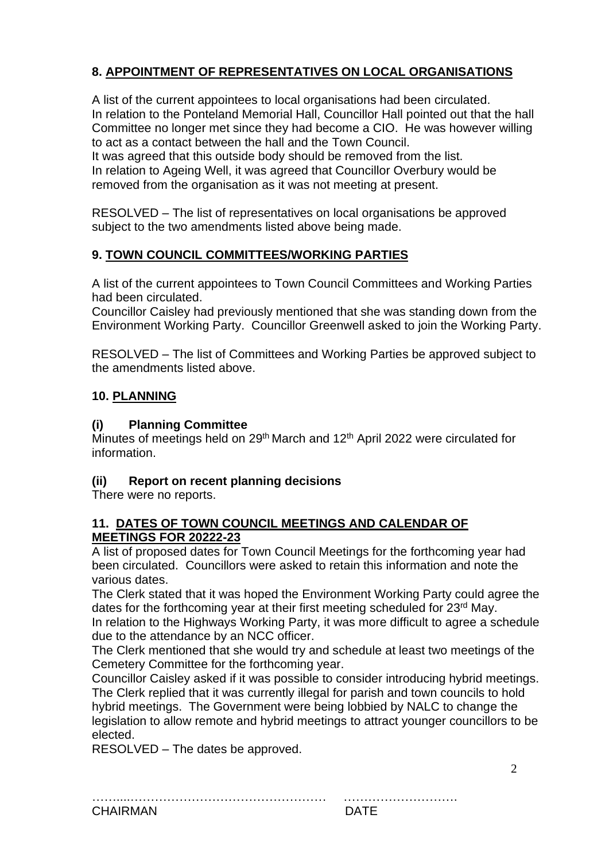# **8. APPOINTMENT OF REPRESENTATIVES ON LOCAL ORGANISATIONS**

A list of the current appointees to local organisations had been circulated. In relation to the Ponteland Memorial Hall, Councillor Hall pointed out that the hall Committee no longer met since they had become a CIO. He was however willing to act as a contact between the hall and the Town Council.

It was agreed that this outside body should be removed from the list. In relation to Ageing Well, it was agreed that Councillor Overbury would be removed from the organisation as it was not meeting at present.

RESOLVED – The list of representatives on local organisations be approved subject to the two amendments listed above being made.

# **9. TOWN COUNCIL COMMITTEES/WORKING PARTIES**

A list of the current appointees to Town Council Committees and Working Parties had been circulated.

Councillor Caisley had previously mentioned that she was standing down from the Environment Working Party. Councillor Greenwell asked to join the Working Party.

RESOLVED – The list of Committees and Working Parties be approved subject to the amendments listed above.

# **10. PLANNING**

## **(i) Planning Committee**

Minutes of meetings held on 29<sup>th</sup> March and 12<sup>th</sup> April 2022 were circulated for information.

# **(ii) Report on recent planning decisions**

There were no reports.

#### **11. DATES OF TOWN COUNCIL MEETINGS AND CALENDAR OF MEETINGS FOR 20222-23**

A list of proposed dates for Town Council Meetings for the forthcoming year had been circulated. Councillors were asked to retain this information and note the various dates.

The Clerk stated that it was hoped the Environment Working Party could agree the dates for the forthcoming year at their first meeting scheduled for 23<sup>rd</sup> May. In relation to the Highways Working Party, it was more difficult to agree a schedule due to the attendance by an NCC officer.

The Clerk mentioned that she would try and schedule at least two meetings of the Cemetery Committee for the forthcoming year.

Councillor Caisley asked if it was possible to consider introducing hybrid meetings. The Clerk replied that it was currently illegal for parish and town councils to hold hybrid meetings. The Government were being lobbied by NALC to change the legislation to allow remote and hybrid meetings to attract younger councillors to be elected.

RESOLVED – The dates be approved.

……....………………………………………… ……………………….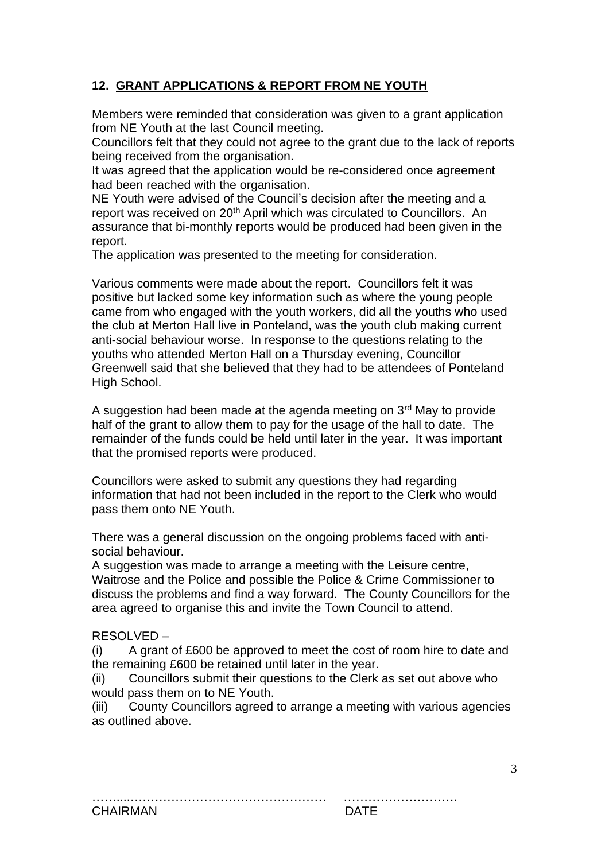# **12. GRANT APPLICATIONS & REPORT FROM NE YOUTH**

Members were reminded that consideration was given to a grant application from NE Youth at the last Council meeting.

Councillors felt that they could not agree to the grant due to the lack of reports being received from the organisation.

It was agreed that the application would be re-considered once agreement had been reached with the organisation.

NE Youth were advised of the Council's decision after the meeting and a report was received on 20<sup>th</sup> April which was circulated to Councillors. An assurance that bi-monthly reports would be produced had been given in the report.

The application was presented to the meeting for consideration.

Various comments were made about the report. Councillors felt it was positive but lacked some key information such as where the young people came from who engaged with the youth workers, did all the youths who used the club at Merton Hall live in Ponteland, was the youth club making current anti-social behaviour worse. In response to the questions relating to the youths who attended Merton Hall on a Thursday evening, Councillor Greenwell said that she believed that they had to be attendees of Ponteland High School.

A suggestion had been made at the agenda meeting on 3<sup>rd</sup> May to provide half of the grant to allow them to pay for the usage of the hall to date. The remainder of the funds could be held until later in the year. It was important that the promised reports were produced.

Councillors were asked to submit any questions they had regarding information that had not been included in the report to the Clerk who would pass them onto NE Youth.

There was a general discussion on the ongoing problems faced with antisocial behaviour.

A suggestion was made to arrange a meeting with the Leisure centre, Waitrose and the Police and possible the Police & Crime Commissioner to discuss the problems and find a way forward. The County Councillors for the area agreed to organise this and invite the Town Council to attend.

#### RESOLVED –

(i) A grant of £600 be approved to meet the cost of room hire to date and the remaining £600 be retained until later in the year.

(ii) Councillors submit their questions to the Clerk as set out above who would pass them on to NE Youth.

(iii) County Councillors agreed to arrange a meeting with various agencies as outlined above.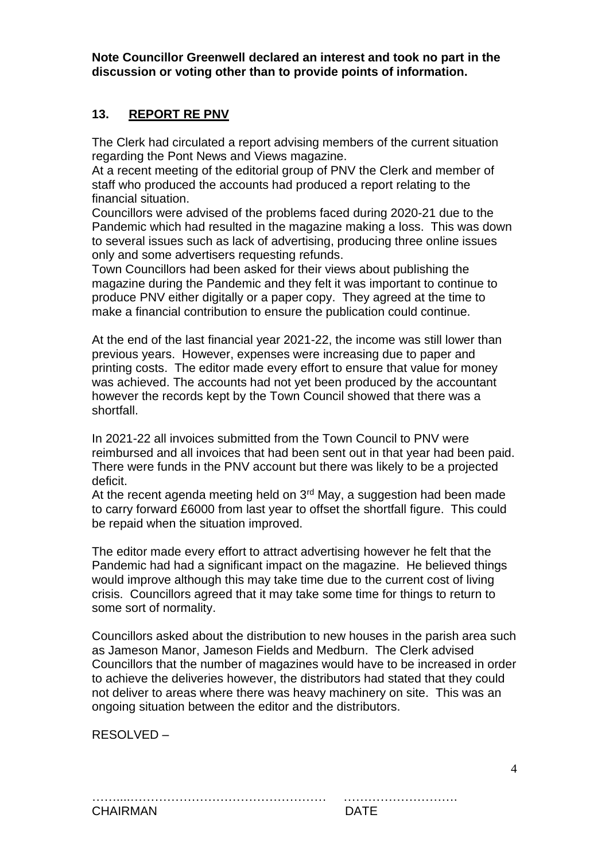**Note Councillor Greenwell declared an interest and took no part in the discussion or voting other than to provide points of information.**

## **13. REPORT RE PNV**

The Clerk had circulated a report advising members of the current situation regarding the Pont News and Views magazine.

At a recent meeting of the editorial group of PNV the Clerk and member of staff who produced the accounts had produced a report relating to the financial situation.

Councillors were advised of the problems faced during 2020-21 due to the Pandemic which had resulted in the magazine making a loss. This was down to several issues such as lack of advertising, producing three online issues only and some advertisers requesting refunds.

Town Councillors had been asked for their views about publishing the magazine during the Pandemic and they felt it was important to continue to produce PNV either digitally or a paper copy. They agreed at the time to make a financial contribution to ensure the publication could continue.

At the end of the last financial year 2021-22, the income was still lower than previous years. However, expenses were increasing due to paper and printing costs. The editor made every effort to ensure that value for money was achieved. The accounts had not yet been produced by the accountant however the records kept by the Town Council showed that there was a shortfall.

In 2021-22 all invoices submitted from the Town Council to PNV were reimbursed and all invoices that had been sent out in that year had been paid. There were funds in the PNV account but there was likely to be a projected deficit.

At the recent agenda meeting held on  $3<sup>rd</sup>$  May, a suggestion had been made to carry forward £6000 from last year to offset the shortfall figure. This could be repaid when the situation improved.

The editor made every effort to attract advertising however he felt that the Pandemic had had a significant impact on the magazine. He believed things would improve although this may take time due to the current cost of living crisis. Councillors agreed that it may take some time for things to return to some sort of normality.

Councillors asked about the distribution to new houses in the parish area such as Jameson Manor, Jameson Fields and Medburn. The Clerk advised Councillors that the number of magazines would have to be increased in order to achieve the deliveries however, the distributors had stated that they could not deliver to areas where there was heavy machinery on site. This was an ongoing situation between the editor and the distributors.

RESOLVED –

CHAIRMAN DATE

……....………………………………………… ……………………….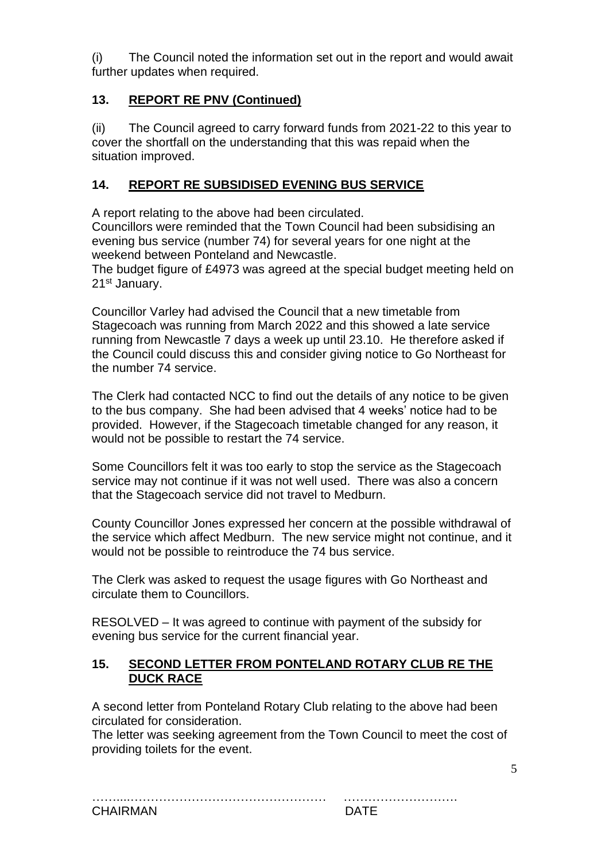(i) The Council noted the information set out in the report and would await further updates when required.

## **13. REPORT RE PNV (Continued)**

(ii) The Council agreed to carry forward funds from 2021-22 to this year to cover the shortfall on the understanding that this was repaid when the situation improved.

## **14. REPORT RE SUBSIDISED EVENING BUS SERVICE**

A report relating to the above had been circulated.

Councillors were reminded that the Town Council had been subsidising an evening bus service (number 74) for several years for one night at the weekend between Ponteland and Newcastle.

The budget figure of £4973 was agreed at the special budget meeting held on 21st January.

Councillor Varley had advised the Council that a new timetable from Stagecoach was running from March 2022 and this showed a late service running from Newcastle 7 days a week up until 23.10. He therefore asked if the Council could discuss this and consider giving notice to Go Northeast for the number 74 service.

The Clerk had contacted NCC to find out the details of any notice to be given to the bus company. She had been advised that 4 weeks' notice had to be provided. However, if the Stagecoach timetable changed for any reason, it would not be possible to restart the 74 service.

Some Councillors felt it was too early to stop the service as the Stagecoach service may not continue if it was not well used. There was also a concern that the Stagecoach service did not travel to Medburn.

County Councillor Jones expressed her concern at the possible withdrawal of the service which affect Medburn. The new service might not continue, and it would not be possible to reintroduce the 74 bus service.

The Clerk was asked to request the usage figures with Go Northeast and circulate them to Councillors.

RESOLVED – It was agreed to continue with payment of the subsidy for evening bus service for the current financial year.

#### **15. SECOND LETTER FROM PONTELAND ROTARY CLUB RE THE DUCK RACE**

A second letter from Ponteland Rotary Club relating to the above had been circulated for consideration.

The letter was seeking agreement from the Town Council to meet the cost of providing toilets for the event.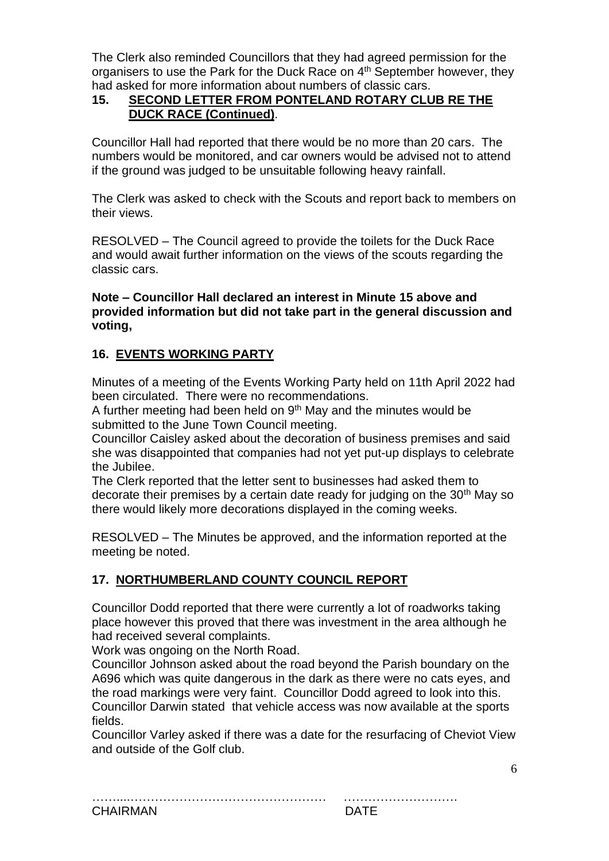The Clerk also reminded Councillors that they had agreed permission for the organisers to use the Park for the Duck Race on 4<sup>th</sup> September however, they had asked for more information about numbers of classic cars.

## **15. SECOND LETTER FROM PONTELAND ROTARY CLUB RE THE DUCK RACE (Continued)**.

Councillor Hall had reported that there would be no more than 20 cars. The numbers would be monitored, and car owners would be advised not to attend if the ground was judged to be unsuitable following heavy rainfall.

The Clerk was asked to check with the Scouts and report back to members on their views.

RESOLVED – The Council agreed to provide the toilets for the Duck Race and would await further information on the views of the scouts regarding the classic cars.

#### **Note – Councillor Hall declared an interest in Minute 15 above and provided information but did not take part in the general discussion and voting,**

# **16. EVENTS WORKING PARTY**

Minutes of a meeting of the Events Working Party held on 11th April 2022 had been circulated. There were no recommendations.

A further meeting had been held on  $9<sup>th</sup>$  May and the minutes would be submitted to the June Town Council meeting.

Councillor Caisley asked about the decoration of business premises and said she was disappointed that companies had not yet put-up displays to celebrate the Jubilee.

The Clerk reported that the letter sent to businesses had asked them to decorate their premises by a certain date ready for judging on the 30<sup>th</sup> May so there would likely more decorations displayed in the coming weeks.

RESOLVED – The Minutes be approved, and the information reported at the meeting be noted.

## **17. NORTHUMBERLAND COUNTY COUNCIL REPORT**

Councillor Dodd reported that there were currently a lot of roadworks taking place however this proved that there was investment in the area although he had received several complaints.

Work was ongoing on the North Road.

Councillor Johnson asked about the road beyond the Parish boundary on the A696 which was quite dangerous in the dark as there were no cats eyes, and the road markings were very faint. Councillor Dodd agreed to look into this. Councillor Darwin stated that vehicle access was now available at the sports fields.

Councillor Varley asked if there was a date for the resurfacing of Cheviot View and outside of the Golf club.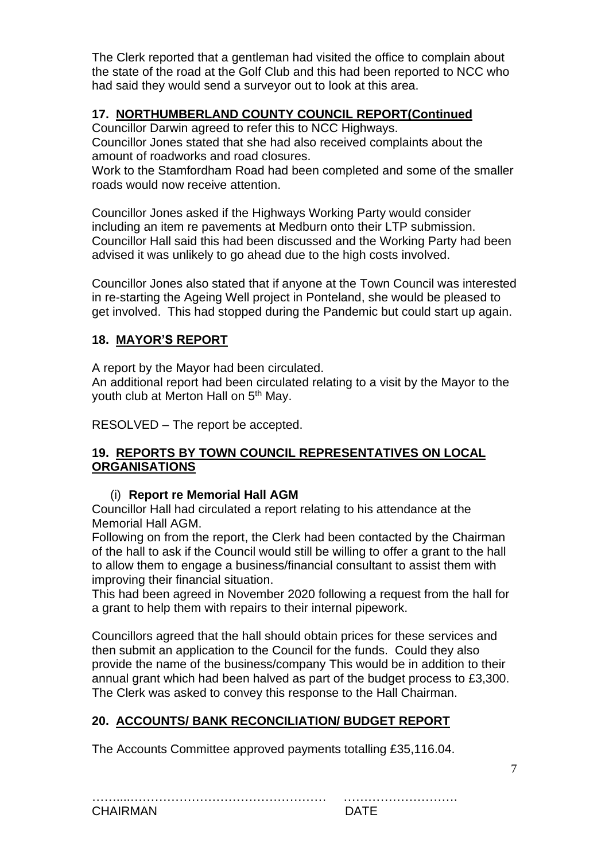The Clerk reported that a gentleman had visited the office to complain about the state of the road at the Golf Club and this had been reported to NCC who had said they would send a surveyor out to look at this area.

# **17. NORTHUMBERLAND COUNTY COUNCIL REPORT(Continued**

Councillor Darwin agreed to refer this to NCC Highways.

Councillor Jones stated that she had also received complaints about the amount of roadworks and road closures.

Work to the Stamfordham Road had been completed and some of the smaller roads would now receive attention.

Councillor Jones asked if the Highways Working Party would consider including an item re pavements at Medburn onto their LTP submission. Councillor Hall said this had been discussed and the Working Party had been advised it was unlikely to go ahead due to the high costs involved.

Councillor Jones also stated that if anyone at the Town Council was interested in re-starting the Ageing Well project in Ponteland, she would be pleased to get involved. This had stopped during the Pandemic but could start up again.

## **18. MAYOR'S REPORT**

A report by the Mayor had been circulated.

An additional report had been circulated relating to a visit by the Mayor to the youth club at Merton Hall on 5<sup>th</sup> May.

RESOLVED – The report be accepted.

#### **19. REPORTS BY TOWN COUNCIL REPRESENTATIVES ON LOCAL ORGANISATIONS**

## (i) **Report re Memorial Hall AGM**

Councillor Hall had circulated a report relating to his attendance at the Memorial Hall AGM.

Following on from the report, the Clerk had been contacted by the Chairman of the hall to ask if the Council would still be willing to offer a grant to the hall to allow them to engage a business/financial consultant to assist them with improving their financial situation.

This had been agreed in November 2020 following a request from the hall for a grant to help them with repairs to their internal pipework.

Councillors agreed that the hall should obtain prices for these services and then submit an application to the Council for the funds. Could they also provide the name of the business/company This would be in addition to their annual grant which had been halved as part of the budget process to £3,300. The Clerk was asked to convey this response to the Hall Chairman.

## **20. ACCOUNTS/ BANK RECONCILIATION/ BUDGET REPORT**

The Accounts Committee approved payments totalling £35,116.04.

| <b>CHAIRMAN</b> |  |
|-----------------|--|